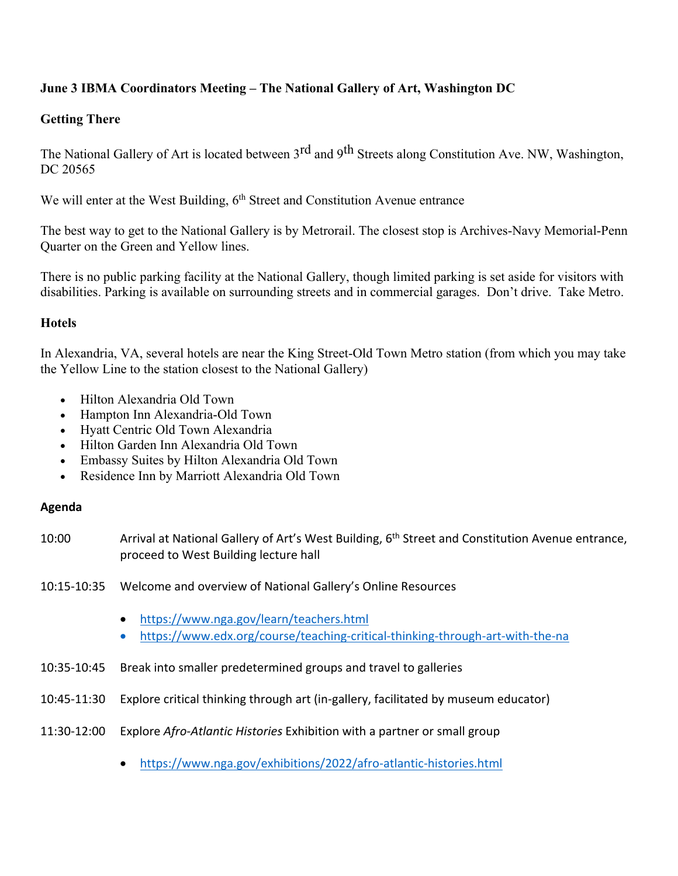## **June 3 IBMA Coordinators Meeting – The National Gallery of Art, Washington DC**

## **Getting There**

The National Gallery of Art is located between 3<sup>rd</sup> and 9<sup>th</sup> Streets along Constitution Ave. NW, Washington, DC 20565

We will enter at the West Building, 6<sup>th</sup> Street and Constitution Avenue entrance

The best way to get to the National Gallery is by Metrorail. The closest stop is Archives-Navy Memorial-Penn Quarter on the Green and Yellow lines.

There is no public parking facility at the National Gallery, though limited parking is set aside for visitors with disabilities. Parking is available on surrounding streets and in commercial garages. Don't drive. Take Metro.

## **Hotels**

In Alexandria, VA, several hotels are near the King Street-Old Town Metro station (from which you may take the Yellow Line to the station closest to the National Gallery)

- Hilton Alexandria Old Town
- Hampton Inn Alexandria-Old Town
- Hyatt Centric Old Town Alexandria
- Hilton Garden Inn Alexandria Old Town
- Embassy Suites by Hilton Alexandria Old Town
- Residence Inn by Marriott Alexandria Old Town

## **Agenda**

- 10:00 Arrival at National Gallery of Art's West Building, 6<sup>th</sup> Street and Constitution Avenue entrance, proceed to West Building lecture hall
- 10:15-10:35 Welcome and overview of National Gallery's Online Resources
	- https://www.nga.gov/learn/teachers.html
	- https://www.edx.org/course/teaching-critical-thinking-through-art-with-the-na
- 10:35-10:45 Break into smaller predetermined groups and travel to galleries
- 10:45-11:30 Explore critical thinking through art (in-gallery, facilitated by museum educator)
- 11:30-12:00 Explore *Afro-Atlantic Histories* Exhibition with a partner or small group
	- https://www.nga.gov/exhibitions/2022/afro-atlantic-histories.html